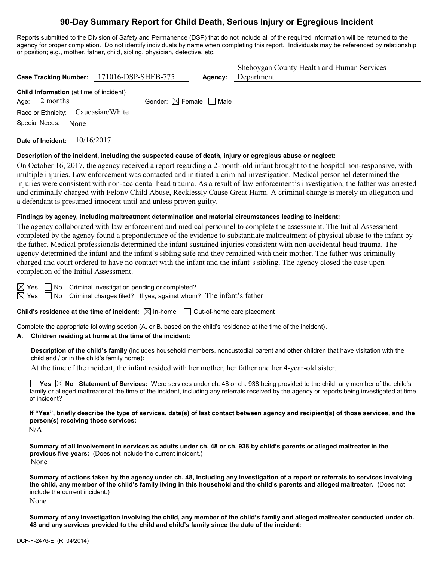# **90-Day Summary Report for Child Death, Serious Injury or Egregious Incident**

Reports submitted to the Division of Safety and Permanence (DSP) that do not include all of the required information will be returned to the agency for proper completion. Do not identify individuals by name when completing this report. Individuals may be referenced by relationship or position; e.g., mother, father, child, sibling, physician, detective, etc.

| Case Tracking Number: 171016-DSP-SHEB-775                  |                                        | Agency: | Sheboygan County Health and Human Services<br>Department |
|------------------------------------------------------------|----------------------------------------|---------|----------------------------------------------------------|
| Child Information (at time of incident)<br>Age: $2$ months | Gender: $\boxtimes$ Female $\Box$ Male |         |                                                          |
| Race or Ethnicity: Caucasian/White                         |                                        |         |                                                          |
| Special Needs: None                                        |                                        |         |                                                          |
|                                                            |                                        |         |                                                          |

**Date of Incident:** 10/16/2017

## **Description of the incident, including the suspected cause of death, injury or egregious abuse or neglect:**

On October 16, 2017, the agency received a report regarding a 2-month-old infant brought to the hospital non-responsive, with multiple injuries. Law enforcement was contacted and initiated a criminal investigation. Medical personnel determined the injuries were consistent with non-accidental head trauma. As a result of law enforcement's investigation, the father was arrested and criminally charged with Felony Child Abuse, Recklessly Cause Great Harm. A criminal charge is merely an allegation and a defendant is presumed innocent until and unless proven guilty.

#### **Findings by agency, including maltreatment determination and material circumstances leading to incident:**

The agency collaborated with law enforcement and medical personnel to complete the assessment. The Initial Assessment completed by the agency found a preponderance of the evidence to substantiate maltreatment of physical abuse to the infant by the father. Medical professionals determined the infant sustained injuries consistent with non-accidental head trauma. The agency determined the infant and the infant's sibling safe and they remained with their mother. The father was criminally charged and court ordered to have no contact with the infant and the infant's sibling. The agency closed the case upon completion of the Initial Assessment.

 $\boxtimes$  Yes  $\Box$  No Criminal investigation pending or completed?

 $\boxtimes$  Yes  $\Box$  No Criminal charges filed? If yes, against whom? The infant's father

**Child's residence at the time of incident:**  $\boxtimes$  In-home  $\Box$  Out-of-home care placement

Complete the appropriate following section (A. or B. based on the child's residence at the time of the incident).

## **A. Children residing at home at the time of the incident:**

**Description of the child's family** (includes household members, noncustodial parent and other children that have visitation with the child and / or in the child's family home):

At the time of the incident, the infant resided with her mother, her father and her 4-year-old sister.

**Yes**  $\boxtimes$  **No** Statement of Services: Were services under ch. 48 or ch. 938 being provided to the child, any member of the child's family or alleged maltreater at the time of the incident, including any referrals received by the agency or reports being investigated at time of incident?

**If "Yes", briefly describe the type of services, date(s) of last contact between agency and recipient(s) of those services, and the person(s) receiving those services:**

N/A

**Summary of all involvement in services as adults under ch. 48 or ch. 938 by child's parents or alleged maltreater in the previous five years:** (Does not include the current incident.) None

**Summary of actions taken by the agency under ch. 48, including any investigation of a report or referrals to services involving the child, any member of the child's family living in this household and the child's parents and alleged maltreater.** (Does not include the current incident.)

None

**Summary of any investigation involving the child, any member of the child's family and alleged maltreater conducted under ch. 48 and any services provided to the child and child's family since the date of the incident:**